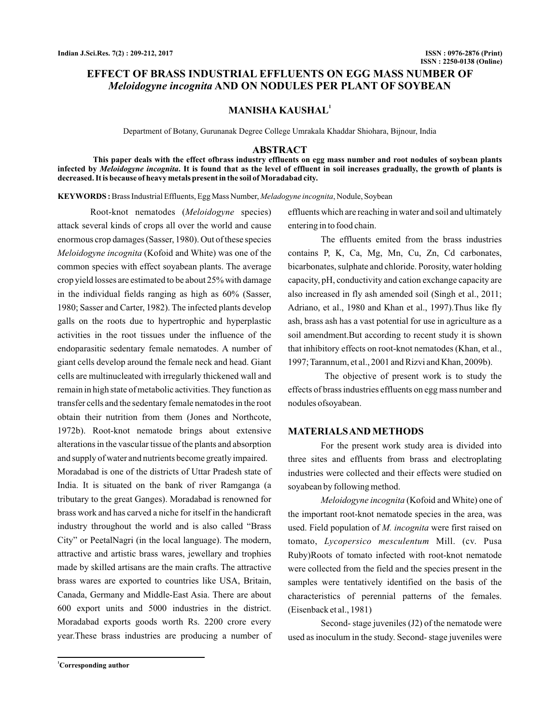# **EFFECT OF BRASS INDUSTRIAL EFFLUENTS ON EGG MASS NUMBER OF** *Meloidogyne incognita* **AND ON NODULES PER PLANT OF SOYBEAN**

## **MANISHA KAUSHAL<sup>1</sup>**

Department of Botany, Gurunanak Degree College Umrakala Khaddar Shiohara, Bijnour, India

## **ABSTRACT**

**This paper deals with the effect ofbrass industry effluents on egg mass number and root nodules of soybean plants** infected by *Meloidogyne incognita*. It is found that as the level of effluent in soil increases gradually, the growth of plants is **decreased. It is because of heavy metals present in the soil of Moradabad city.**

KEYWORDS: Brass Industrial Effluents, Egg Mass Number, *Meladogyne incognita*, Nodule, Soybean

Root-knot nematodes (Meloidogyne species) attack several kinds of crops all over the world and cause enormous crop damages (Sasser, 1980). Out of these species Meloidogyne incognita (Kofoid and White) was one of the common species with effect soyabean plants. The average crop yield losses are estimated to be about 25% with damage in the individual fields ranging as high as 60% (Sasser, 1980; Sasser and Carter, 1982). The infected plants develop galls on the roots due to hypertrophic and hyperplastic activities in the root tissues under the influence of the endoparasitic sedentary female nematodes. A number of giant cells develop around the female neck and head. Giant cells are multinucleated with irregularly thickened wall and remain in high state of metabolic activities. They function as transfer cells and the sedentary female nematodes in the root obtain their nutrition from them (Jones and Northcote, 1972b). Root-knot nematode brings about extensive alterations in the vascular tissue of the plants and absorption and supply of water and nutrients become greatly impaired. Moradabad is one of the districts of Uttar Pradesh state of India. It is situated on the bank of river Ramganga (a tributary to the great Ganges). Moradabad is renowned for brass work and has carved a niche for itself in the handicraft industry throughout the world and is also called "Brass City" or PeetalNagri (in the local language). The modern, attractive and artistic brass wares, jewellary and trophies made by skilled artisans are the main crafts. The attractive brass wares are exported to countries like USA, Britain, Canada, Germany and Middle-East Asia. There are about 600 export units and 5000 industries in the district. Moradabad exports goods worth Rs. 2200 crore every year.These brass industries are producing a number of effluents which are reaching in water and soil and ultimately entering in to food chain.

The effluents emited from the brass industries contains P, K, Ca, Mg, Mn, Cu, Zn, Cd carbonates, bicarbonates, sulphate and chloride. Porosity, water holding capacity, pH, conductivity and cation exchange capacity are also increased in fly ash amended soil (Singh et al., 2011; Adriano, et al., 1980 and Khan et al., 1997).Thus like fly ash, brass ash has a vast potential for use in agriculture as a soil amendment.But according to recent study it is shown that inhibitory effects on root-knot nematodes (Khan, et al., 1997; Tarannum, et al., 2001 and Rizvi and Khan, 2009b).

The objective of present work is to study the effects of brass industries effluents on egg mass number and nodules ofsoyabean.

### **MATERIALSAND METHODS**

For the present work study area is divided into three sites and effluents from brass and electroplating industries were collected and their effects were studied on soyabean by following method.

*Meloidogyne incognita* (Kofoid and White) one of the important root-knot nematode species in the area, was used. Field population of M. incognita were first raised on tomato, Lycopersico mesculentum Mill. (cv. Pusa Ruby)Roots of tomato infected with root-knot nematode were collected from the field and the species present in the samples were tentatively identified on the basis of the characteristics of perennial patterns of the females. (Eisenback et al., 1981)

Second- stage juveniles (J2) of the nematode were used as inoculum in the study. Second- stage juveniles were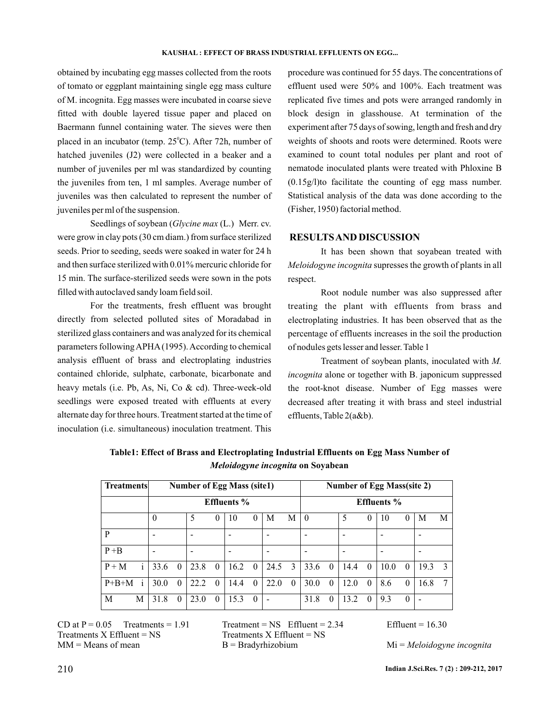obtained by incubating egg masses collected from the roots of tomato or eggplant maintaining single egg mass culture of M. incognita. Egg masses were incubated in coarse sieve fitted with double layered tissue paper and placed on Baermann funnel containing water. The sieves were then placed in an incubator (temp.  $25^{\circ}$ C). After 72h, number of hatched juveniles (J2) were collected in a beaker and a number of juveniles per ml was standardized by counting the juveniles from ten, 1 ml samples. Average number of juveniles was then calculated to represent the number of juveniles per ml of the suspension.

Seedlings of soybean (Glycine max (L.) Merr. cv. were grow in clay pots (30 cm diam.) from surface sterilized seeds. Prior to seeding, seeds were soaked in water for 24 h and then surface sterilized with 0.01% mercuric chloride for 15 min. The surface-sterilized seeds were sown in the pots filled with autoclaved sandy loam field soil.

For the treatments, fresh effluent was brought directly from selected polluted sites of Moradabad in sterilized glass containers and was analyzed for its chemical parameters following APHA (1995). According to chemical analysis effluent of brass and electroplating industries contained chloride, sulphate, carbonate, bicarbonate and heavy metals (i.e. Pb, As, Ni, Co & cd). Three-week-old seedlings were exposed treated with effluents at every alternate day for three hours. Treatment started at the time of inoculation (i.e. simultaneous) inoculation treatment. This

procedure was continued for 55 days. The concentrations of effluent used were 50% and 100%. Each treatment was replicated five times and pots were arranged randomly in block design in glasshouse. At termination of the experiment after 75 days of sowing, length and fresh and dry weights of shoots and roots were determined. Roots were examined to count total nodules per plant and root of nematode inoculated plants were treated with Phloxine B (0.15g/l)to facilitate the counting of egg mass number. Statistical analysis of the data was done according to the (Fisher, 1950) factorial method.

## **RESULTSAND DISCUSSION**

It has been shown that soyabean treated with Meloidogyne incognita supresses the growth of plants in all respect.

Root nodule number was also suppressed after treating the plant with effluents from brass and electroplating industries. It has been observed that as the percentage of effluents increases in the soil the production of nodules gets lesser and lesser. Table 1

Treatment of soybean plants, inoculated with *M.* incognita alone or together with B. japonicum suppressed the root-knot disease. Number of Egg masses were decreased after treating it with brass and steel industrial effluents, Table 2(a&b).

| <b>Treatments</b>       | <b>Number of Egg Mass (site1)</b> |          |      |          |      |          |      |          | <b>Number of Egg Mass(site 2)</b> |                    |      |          |                          |          |      |               |  |
|-------------------------|-----------------------------------|----------|------|----------|------|----------|------|----------|-----------------------------------|--------------------|------|----------|--------------------------|----------|------|---------------|--|
|                         | <b>Effluents</b> %                |          |      |          |      |          |      |          |                                   | <b>Effluents</b> % |      |          |                          |          |      |               |  |
|                         | $\theta$                          |          | 5    | 0        | 10   | $\theta$ | M    | М        | $\theta$                          |                    | 5    | 0        | 10                       | 0        | М    | M             |  |
| P                       |                                   |          |      |          |      |          |      |          |                                   |                    |      |          |                          |          |      |               |  |
| $P + B$                 |                                   |          |      |          |      |          | -    |          | $\overline{\phantom{0}}$          |                    | -    |          | $\overline{\phantom{a}}$ |          |      |               |  |
| i<br>$P + M$            | 33.6                              | $\theta$ | 23.8 | $\theta$ | 16.2 | $\theta$ | 24.5 | 3        | 33.6                              | $\theta$           | 14.4 | $\theta$ | 10.0                     | $\theta$ | 19.3 | $\mathcal{E}$ |  |
| $P+B+M$<br>$\mathbf{1}$ | 30.0                              | $\theta$ | 22.2 | $\theta$ | 14.4 | $\theta$ | 22.0 | $\theta$ | 30.0                              | $\theta$           | 12.0 | $\theta$ | 8.6                      | 0        | 16.8 |               |  |
| M<br>М                  | 31.8                              | $\theta$ | 23.0 | $\theta$ | 15.3 | $\theta$ |      |          | 31.8                              | $\theta$           | 13.2 | $\theta$ | 9.3                      | $\theta$ |      |               |  |

**Table1: Effect of Brass and Electroplating Industrial Effluents on Egg Mass Number of** *Meloidogyne incognita* **on Soyabean**

 $CD$  at  $P = 0.05$  Treatments = 1.91 Treatment = NS Effluent = 2.34 Effluent = 16.30  $Treatments X Effluent = NS$   $Treatments X Effluent = NS$ 

MM = Means of mean B = Bradyrhizobium Mi = *Meloidogyne incognita*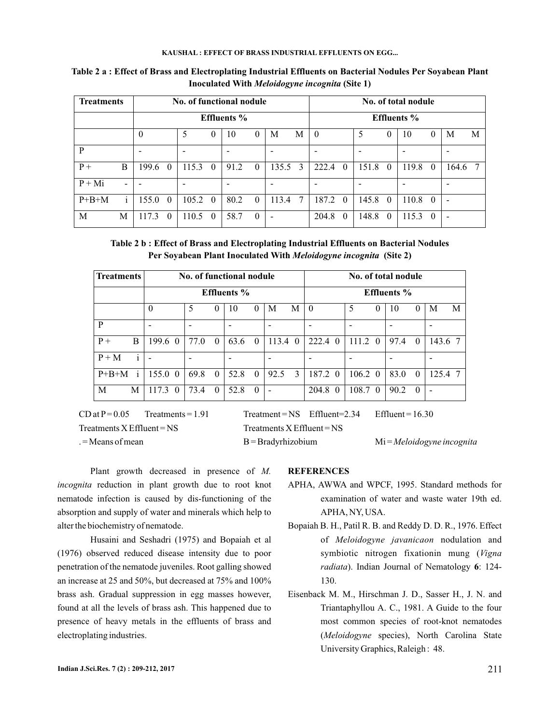## **KAUSHAL : EFFECT OF BRASS INDUSTRIAL EFFLUENTS ON EGG...**

| <b>Treatments</b> |                    | No. of functional nodule<br><b>Effluents</b> % |          |                          |          |                          |          |                          |                | No. of total nodule |          |       |          |       |          |                              |   |
|-------------------|--------------------|------------------------------------------------|----------|--------------------------|----------|--------------------------|----------|--------------------------|----------------|---------------------|----------|-------|----------|-------|----------|------------------------------|---|
|                   | <b>Effluents</b> % |                                                |          |                          |          |                          |          |                          |                |                     |          |       |          |       |          |                              |   |
|                   |                    | $\theta$                                       |          | 5                        | 0        | 10                       | $\theta$ | M                        | М              | $\theta$            |          | 5     | $\theta$ | 10    | 0        | M                            | M |
| P                 |                    | -                                              |          | $\overline{\phantom{a}}$ |          | $\qquad \qquad$          |          | ۰                        |                | ۰                   |          | -     |          | -     |          | -                            |   |
| $P+$              | B                  | 199.6                                          | $\theta$ | 115.3                    | $\theta$ | 91.2                     | $\theta$ | 135.5                    | 3              | 222.4               | $\theta$ | 151.8 | $\theta$ | 119.8 | $\Omega$ | 164.6                        | 7 |
| $P + Mi$          |                    |                                                |          | $\overline{\phantom{0}}$ |          | $\overline{\phantom{a}}$ |          | $\overline{\phantom{0}}$ |                | -                   |          | -     |          | -     |          |                              |   |
| $P+B+M$           | $\mathbf{1}$       | 155.0                                          | $\theta$ | 105.2                    | $\theta$ | 80.2                     | $\Omega$ | 113.4                    | $\overline{7}$ | 187.2               | $\theta$ | 145.8 | $\theta$ | 110.8 | $\theta$ | $\qquad \qquad \blacksquare$ |   |
| M                 | M                  | 17.3                                           | $\theta$ | 110.5                    | 0        | 58.7                     | $\theta$ |                          |                | 204.8               | $\Omega$ | 148.8 | $\Omega$ | 115.3 | $\Omega$ | $\blacksquare$               |   |

**Table 2 a : Effect of Brass and Electroplating Industrial Effluents on Bacterial Nodules Per Soyabean Plant Inoculated With Meloidogyne incognita (Site 1)** 

**Table 2 b : Effect of Brass and Electroplating Industrial Effluents on Bacterial Nodules** Per Soyabean Plant Inoculated With *Meloidogyne incognita* (Site 2)

| <b>Treatments</b>       |                 | No. of functional nodule |                    |                    | No. of total nodule          |                             |  |  |  |  |  |  |
|-------------------------|-----------------|--------------------------|--------------------|--------------------|------------------------------|-----------------------------|--|--|--|--|--|--|
|                         |                 |                          | <b>Effluents</b> % |                    | <b>Effluents</b> %           |                             |  |  |  |  |  |  |
|                         | $\theta$        | 5<br>$\theta$            | 10<br>$\theta$     | M<br>М             | 5<br>$\theta$<br>0           | M<br>10<br>M<br>0           |  |  |  |  |  |  |
| P                       |                 |                          |                    |                    |                              |                             |  |  |  |  |  |  |
| B<br>$P+$               | 199.6 0         | 77.0<br>$\theta$         | 63.6<br>$\Omega$   | $113.4 \text{ } 0$ | 222.4 0<br>111.2<br>$\Omega$ | 97.4<br>143.6 7<br>$\Omega$ |  |  |  |  |  |  |
| $\mathbf{i}$<br>$P + M$ |                 |                          |                    |                    |                              |                             |  |  |  |  |  |  |
| $\mathbf{i}$<br>$P+B+M$ | 155.0 0         | 69.8<br>$\theta$         | 52.8<br>$\theta$   | 3<br>92.5          | 187.2 0<br>106.2<br>$\theta$ | 83.0<br>125.4<br>$\theta$   |  |  |  |  |  |  |
| M<br>M                  | $117.3 \quad 0$ | 73.4<br>$\Omega$         | 52.8<br>$\Omega$   | -                  | 108.7<br>204.8 0<br>$\Omega$ | 90.2<br>$\Omega$            |  |  |  |  |  |  |

 $CD$  at  $P = 0.05$  Treatments = 1.91 Treatment = NS Effluent = 2.34 Effluent = 16.30  $Treatments X Effluent = NS$   $Treatments X Effluent = NS$ 

. = Means of mean B = Bradyrhizobium Mi = *Meloidogyne incognita*

Plant growth decreased in presence of *M.* incognita reduction in plant growth due to root knot nematode infection is caused by dis-functioning of the absorption and supply of water and minerals which help to alter the biochemistry of nematode.

Husaini and Seshadri (1975) and Bopaiah et al (1976) observed reduced disease intensity due to poor penetration of the nematode juveniles. Root galling showed an increase at 25 and 50%, but decreased at 75% and 100% brass ash. Gradual suppression in egg masses however, found at all the levels of brass ash. This happened due to presence of heavy metals in the effluents of brass and electroplating industries.

## **REFERENCES**

- APHA, AWWA and WPCF, 1995. Standard methods for examination of water and waste water 19th ed. APHA, NY, USA.
- radiata). Indian Journal of Nematology 6: 124-Bopaiah B. H., Patil R. B. and Reddy D. D. R., 1976. Effect of Meloidogyne javanicaon nodulation and symbiotic nitrogen fixationin mung ( *Vigna* 130.
- Eisenback M. M., Hirschman J. D., Sasser H., J. N. and Triantaphyllou A. C., 1981. A Guide to the four most common species of root-knot nematodes (Meloidogyne species), North Carolina State University Graphics, Raleigh : 48.